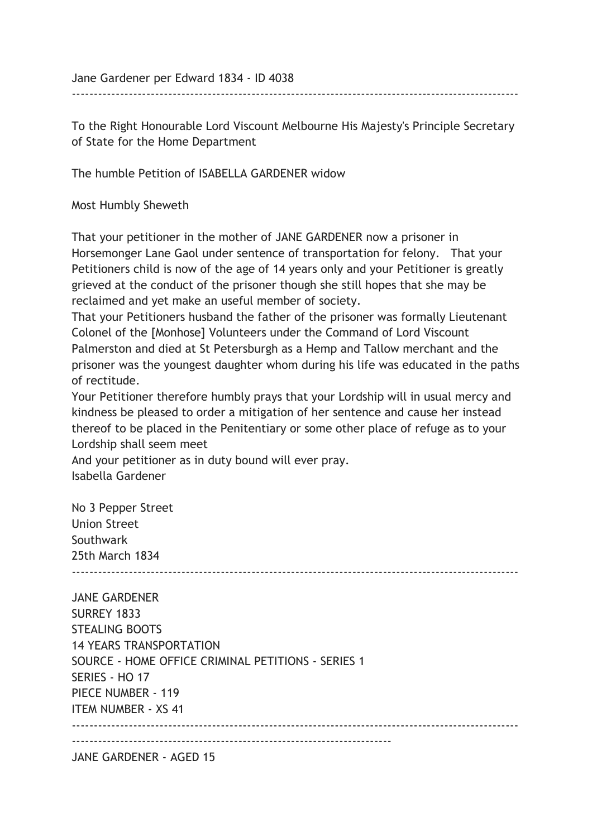Jane Gardener per Edward 1834 - ID 4038

To the Right Honourable Lord Viscount Melbourne His Majesty's Principle Secretary of State for the Home Department

------------------------------------------------------------------------------------------------------

The humble Petition of ISABELLA GARDENER widow

Most Humbly Sheweth

That your petitioner in the mother of JANE GARDENER now a prisoner in Horsemonger Lane Gaol under sentence of transportation for felony. That your Petitioners child is now of the age of 14 years only and your Petitioner is greatly grieved at the conduct of the prisoner though she still hopes that she may be reclaimed and yet make an useful member of society.

That your Petitioners husband the father of the prisoner was formally Lieutenant Colonel of the [Monhose] Volunteers under the Command of Lord Viscount Palmerston and died at St Petersburgh as a Hemp and Tallow merchant and the prisoner was the youngest daughter whom during his life was educated in the paths of rectitude.

Your Petitioner therefore humbly prays that your Lordship will in usual mercy and kindness be pleased to order a mitigation of her sentence and cause her instead thereof to be placed in the Penitentiary or some other place of refuge as to your Lordship shall seem meet

And your petitioner as in duty bound will ever pray. Isabella Gardener

No 3 Pepper Street Union Street Southwark 25th March 1834 ------------------------------------------------------------------------------------------------------

JANE GARDENER SURREY 1833 STEALING BOOTS 14 YEARS TRANSPORTATION SOURCE - HOME OFFICE CRIMINAL PETITIONS - SERIES 1 SERIES - HO 17 PIECE NUMBER - 119 ITEM NUMBER - XS 41 ------------------------------------------------------------------------------------------------------  $-$ JANE GARDENER - AGED 15